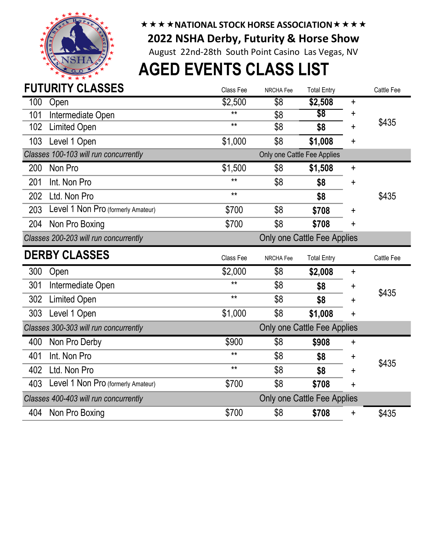

## $\star \star \star \star$ NATIONAL STOCK HORSE ASSOCIATION  $\star \star \star \star$ 2022 NSHA Derby, Futurity & Horse Show

August 22nd-28th South Point Casino Las Vegas, NV

## AGED EVENTS CLASS LIST

|                                       | <b>FUTURITY CLASSES</b>               | Class Fee | NRCHA Fee                          | <b>Total Entry</b> |           | Cattle Fee |  |  |  |
|---------------------------------------|---------------------------------------|-----------|------------------------------------|--------------------|-----------|------------|--|--|--|
| 100                                   | Open                                  | \$2,500   | \$8                                | \$2,508            | $\ddot{}$ |            |  |  |  |
| 101                                   | Intermediate Open                     | $***$     | \$8                                | $\overline{\$8}$   | +         |            |  |  |  |
| 102                                   | <b>Limited Open</b>                   | $***$     | \$8                                | \$8                | $\ddot{}$ | \$435      |  |  |  |
| 103                                   | Level 1 Open                          | \$1,000   | \$8                                | \$1,008            | $\ddot{}$ |            |  |  |  |
|                                       | Classes 100-103 will run concurrently |           | Only one Cattle Fee Applies        |                    |           |            |  |  |  |
| 200                                   | Non Pro                               | \$1,500   | \$8                                | \$1,508            | +         |            |  |  |  |
| 201                                   | Int. Non Pro                          | $***$     | \$8                                | \$8                | +         |            |  |  |  |
| 202                                   | Ltd. Non Pro                          | $***$     |                                    | \$8                |           | \$435      |  |  |  |
| 203                                   | Level 1 Non Pro (formerly Amateur)    | \$700     | \$8                                | \$708              | $\ddot{}$ |            |  |  |  |
| 204                                   | Non Pro Boxing                        | \$700     | \$8                                | \$708              | $\ddot{}$ |            |  |  |  |
| Classes 200-203 will run concurrently |                                       |           | Only one Cattle Fee Applies        |                    |           |            |  |  |  |
|                                       | <b>DERBY CLASSES</b>                  | Class Fee | NRCHA Fee                          | <b>Total Entry</b> |           | Cattle Fee |  |  |  |
| 300                                   | Open                                  | \$2,000   | \$8                                | \$2,008            | $\ddot{}$ |            |  |  |  |
| 301                                   | Intermediate Open                     | $***$     | \$8                                | \$8                | +         | \$435      |  |  |  |
| 302                                   | <b>Limited Open</b>                   | $***$     | \$8                                | \$8                | +         |            |  |  |  |
| 303                                   | Level 1 Open                          | \$1,000   | \$8                                | \$1,008            | ÷         |            |  |  |  |
| Classes 300-303 will run concurrently |                                       |           | Only one Cattle Fee Applies        |                    |           |            |  |  |  |
| 400                                   | Non Pro Derby                         | \$900     | \$8                                | \$908              | $\ddot{}$ |            |  |  |  |
| 401                                   | Int. Non Pro                          | $***$     | \$8                                | \$8                | +         |            |  |  |  |
| 402                                   | Ltd. Non Pro                          | $***$     | \$8                                | \$8                | +         | \$435      |  |  |  |
| 403                                   | Level 1 Non Pro (formerly Amateur)    | \$700     | \$8                                | \$708              | $\ddot{}$ |            |  |  |  |
|                                       | Classes 400-403 will run concurrently |           | <b>Only one Cattle Fee Applies</b> |                    |           |            |  |  |  |
| 404                                   | Non Pro Boxing                        | \$700     | \$8                                | \$708              | +         | \$435      |  |  |  |